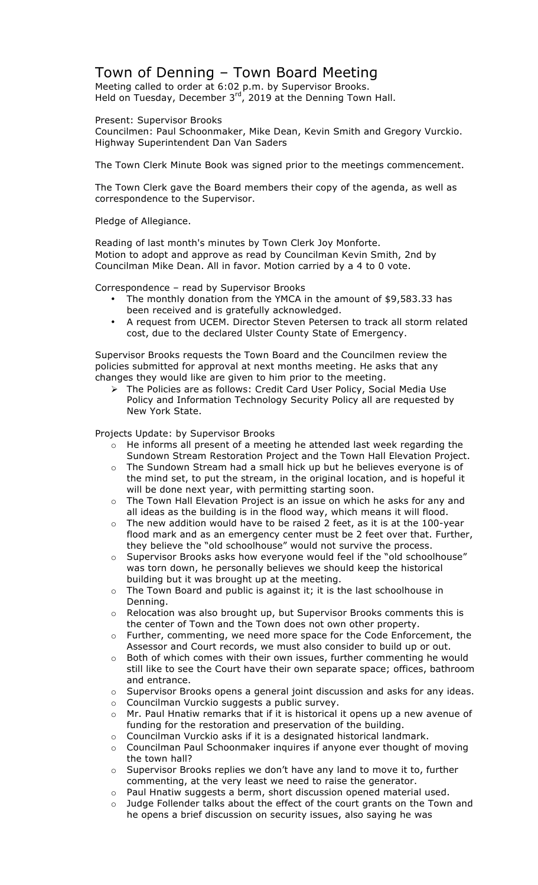## Town of Denning – Town Board Meeting

Meeting called to order at 6:02 p.m. by Supervisor Brooks. Held on Tuesday, December  $3^{rd}$ , 2019 at the Denning Town Hall.

Present: Supervisor Brooks

Councilmen: Paul Schoonmaker, Mike Dean, Kevin Smith and Gregory Vurckio. Highway Superintendent Dan Van Saders

The Town Clerk Minute Book was signed prior to the meetings commencement.

The Town Clerk gave the Board members their copy of the agenda, as well as correspondence to the Supervisor.

Pledge of Allegiance.

Reading of last month's minutes by Town Clerk Joy Monforte. Motion to adopt and approve as read by Councilman Kevin Smith, 2nd by Councilman Mike Dean. All in favor. Motion carried by a 4 to 0 vote.

Correspondence – read by Supervisor Brooks

- The monthly donation from the YMCA in the amount of \$9,583.33 has been received and is gratefully acknowledged.
- A request from UCEM. Director Steven Petersen to track all storm related cost, due to the declared Ulster County State of Emergency.

Supervisor Brooks requests the Town Board and the Councilmen review the policies submitted for approval at next months meeting. He asks that any changes they would like are given to him prior to the meeting.

! The Policies are as follows: Credit Card User Policy, Social Media Use Policy and Information Technology Security Policy all are requested by New York State.

Projects Update: by Supervisor Brooks

- o He informs all present of a meeting he attended last week regarding the Sundown Stream Restoration Project and the Town Hall Elevation Project.
- $\circ$  The Sundown Stream had a small hick up but he believes everyone is of the mind set, to put the stream, in the original location, and is hopeful it will be done next year, with permitting starting soon.
- o The Town Hall Elevation Project is an issue on which he asks for any and all ideas as the building is in the flood way, which means it will flood.
- o The new addition would have to be raised 2 feet, as it is at the 100-year flood mark and as an emergency center must be 2 feet over that. Further, they believe the "old schoolhouse" would not survive the process.
- o Supervisor Brooks asks how everyone would feel if the "old schoolhouse" was torn down, he personally believes we should keep the historical building but it was brought up at the meeting.
- o The Town Board and public is against it; it is the last schoolhouse in Denning.
- $\circ$  Relocation was also brought up, but Supervisor Brooks comments this is the center of Town and the Town does not own other property.
- o Further, commenting, we need more space for the Code Enforcement, the Assessor and Court records, we must also consider to build up or out.
- $\circ$  Both of which comes with their own issues, further commenting he would still like to see the Court have their own separate space; offices, bathroom and entrance.
- o Supervisor Brooks opens a general joint discussion and asks for any ideas.
- o Councilman Vurckio suggests a public survey.
- $\circ$  Mr. Paul Hnatiw remarks that if it is historical it opens up a new avenue of funding for the restoration and preservation of the building.
- o Councilman Vurckio asks if it is a designated historical landmark.
- o Councilman Paul Schoonmaker inquires if anyone ever thought of moving the town hall?
- o Supervisor Brooks replies we don't have any land to move it to, further commenting, at the very least we need to raise the generator.
- o Paul Hnatiw suggests a berm, short discussion opened material used.
- o Judge Follender talks about the effect of the court grants on the Town and he opens a brief discussion on security issues, also saying he was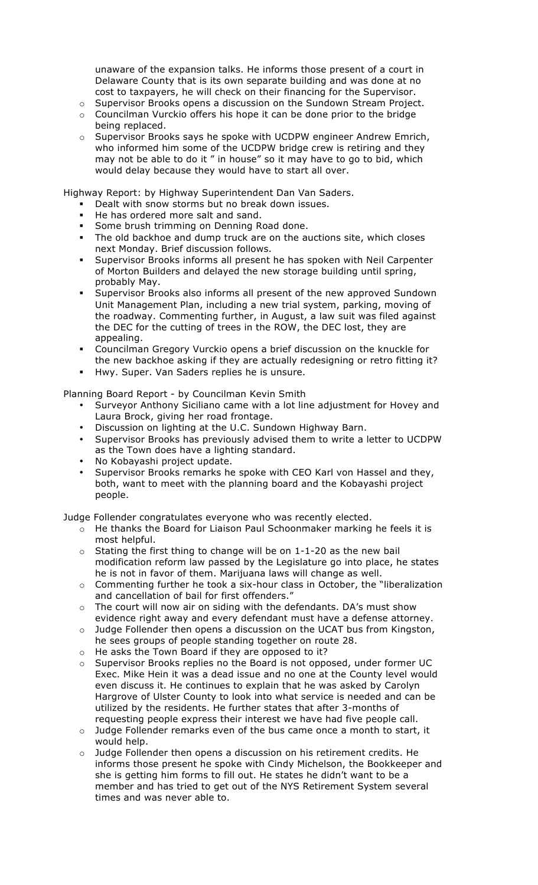unaware of the expansion talks. He informs those present of a court in Delaware County that is its own separate building and was done at no cost to taxpayers, he will check on their financing for the Supervisor.

- $\circ$  Supervisor Brooks opens a discussion on the Sundown Stream Project.
- $\circ$  Councilman Vurckio offers his hope it can be done prior to the bridge being replaced.
- o Supervisor Brooks says he spoke with UCDPW engineer Andrew Emrich, who informed him some of the UCDPW bridge crew is retiring and they may not be able to do it " in house" so it may have to go to bid, which would delay because they would have to start all over.

Highway Report: by Highway Superintendent Dan Van Saders.

- Dealt with snow storms but no break down issues.
- He has ordered more salt and sand.
- **Some brush trimming on Denning Road done.**
- The old backhoe and dump truck are on the auctions site, which closes next Monday. Brief discussion follows.
- Supervisor Brooks informs all present he has spoken with Neil Carpenter of Morton Builders and delayed the new storage building until spring, probably May.
- Supervisor Brooks also informs all present of the new approved Sundown Unit Management Plan, including a new trial system, parking, moving of the roadway. Commenting further, in August, a law suit was filed against the DEC for the cutting of trees in the ROW, the DEC lost, they are appealing.
- " Councilman Gregory Vurckio opens a brief discussion on the knuckle for the new backhoe asking if they are actually redesigning or retro fitting it?
- " Hwy. Super. Van Saders replies he is unsure.

## Planning Board Report - by Councilman Kevin Smith

- Surveyor Anthony Siciliano came with a lot line adjustment for Hovey and Laura Brock, giving her road frontage.
- Discussion on lighting at the U.C. Sundown Highway Barn.
- Supervisor Brooks has previously advised them to write a letter to UCDPW as the Town does have a lighting standard.
- No Kobayashi project update.
- Supervisor Brooks remarks he spoke with CEO Karl von Hassel and they, both, want to meet with the planning board and the Kobayashi project people.

Judge Follender congratulates everyone who was recently elected.

- o He thanks the Board for Liaison Paul Schoonmaker marking he feels it is most helpful.
- $\circ$  Stating the first thing to change will be on 1-1-20 as the new bail modification reform law passed by the Legislature go into place, he states he is not in favor of them. Marijuana laws will change as well.
- $\circ$  Commenting further he took a six-hour class in October, the "liberalization and cancellation of bail for first offenders."
- $\circ$  The court will now air on siding with the defendants. DA's must show evidence right away and every defendant must have a defense attorney.
- o Judge Follender then opens a discussion on the UCAT bus from Kingston, he sees groups of people standing together on route 28.
- o He asks the Town Board if they are opposed to it?
- $\circ$  Supervisor Brooks replies no the Board is not opposed, under former UC Exec. Mike Hein it was a dead issue and no one at the County level would even discuss it. He continues to explain that he was asked by Carolyn Hargrove of Ulster County to look into what service is needed and can be utilized by the residents. He further states that after 3-months of requesting people express their interest we have had five people call.
- o Judge Follender remarks even of the bus came once a month to start, it would help.
- o Judge Follender then opens a discussion on his retirement credits. He informs those present he spoke with Cindy Michelson, the Bookkeeper and she is getting him forms to fill out. He states he didn't want to be a member and has tried to get out of the NYS Retirement System several times and was never able to.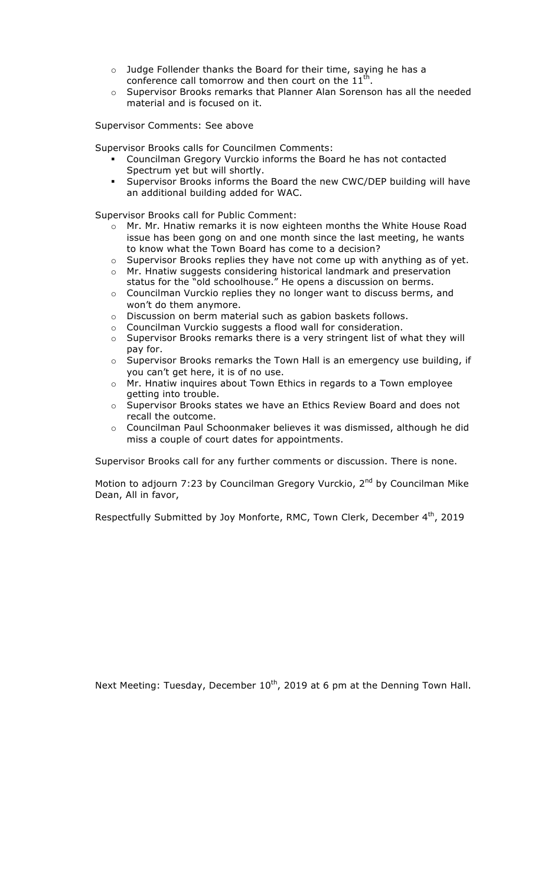- o Judge Follender thanks the Board for their time, saying he has a conference call tomorrow and then court on the  $11<sup>th</sup>$ .
- o Supervisor Brooks remarks that Planner Alan Sorenson has all the needed material and is focused on it.

Supervisor Comments: See above

Supervisor Brooks calls for Councilmen Comments:

- " Councilman Gregory Vurckio informs the Board he has not contacted Spectrum yet but will shortly.
- " Supervisor Brooks informs the Board the new CWC/DEP building will have an additional building added for WAC.

Supervisor Brooks call for Public Comment:

- $\circ$  Mr. Mr. Hnatiw remarks it is now eighteen months the White House Road issue has been gong on and one month since the last meeting, he wants to know what the Town Board has come to a decision?
- $\circ$  Supervisor Brooks replies they have not come up with anything as of yet.
- o Mr. Hnatiw suggests considering historical landmark and preservation status for the "old schoolhouse." He opens a discussion on berms.
- o Councilman Vurckio replies they no longer want to discuss berms, and won't do them anymore.
- o Discussion on berm material such as gabion baskets follows.
- o Councilman Vurckio suggests a flood wall for consideration.
- $\circ$  Supervisor Brooks remarks there is a very stringent list of what they will pay for.
- o Supervisor Brooks remarks the Town Hall is an emergency use building, if you can't get here, it is of no use.
- o Mr. Hnatiw inquires about Town Ethics in regards to a Town employee getting into trouble.
- o Supervisor Brooks states we have an Ethics Review Board and does not recall the outcome.
- o Councilman Paul Schoonmaker believes it was dismissed, although he did miss a couple of court dates for appointments.

Supervisor Brooks call for any further comments or discussion. There is none.

Motion to adjourn 7:23 by Councilman Gregory Vurckio,  $2^{nd}$  by Councilman Mike Dean, All in favor,

Respectfully Submitted by Joy Monforte, RMC, Town Clerk, December 4<sup>th</sup>, 2019

Next Meeting: Tuesday, December  $10^{th}$ , 2019 at 6 pm at the Denning Town Hall.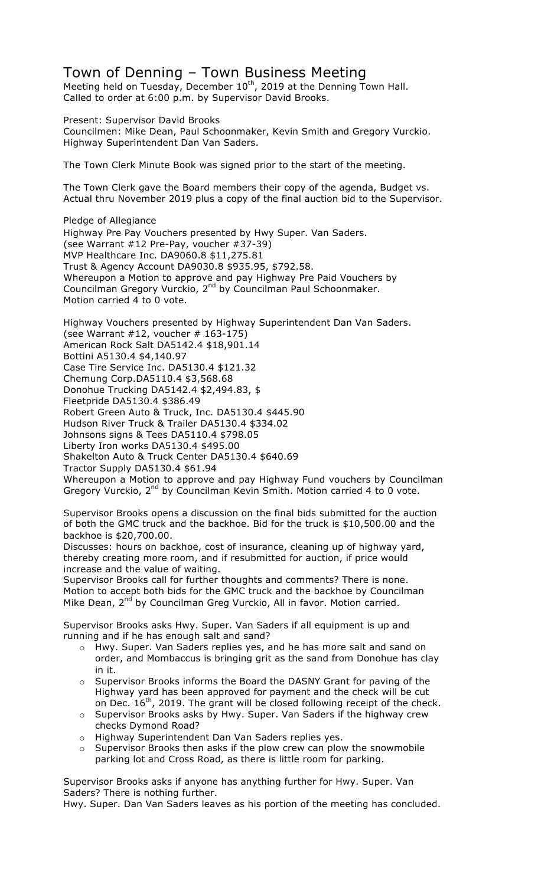## Town of Denning – Town Business Meeting

Meeting held on Tuesday, December  $10^{th}$ , 2019 at the Denning Town Hall. Called to order at 6:00 p.m. by Supervisor David Brooks.

Present: Supervisor David Brooks Councilmen: Mike Dean, Paul Schoonmaker, Kevin Smith and Gregory Vurckio. Highway Superintendent Dan Van Saders.

The Town Clerk Minute Book was signed prior to the start of the meeting.

The Town Clerk gave the Board members their copy of the agenda, Budget vs. Actual thru November 2019 plus a copy of the final auction bid to the Supervisor.

Pledge of Allegiance Highway Pre Pay Vouchers presented by Hwy Super. Van Saders. (see Warrant #12 Pre-Pay, voucher #37-39) MVP Healthcare Inc. DA9060.8 \$11,275.81 Trust & Agency Account DA9030.8 \$935.95, \$792.58. Whereupon a Motion to approve and pay Highway Pre Paid Vouchers by Councilman Gregory Vurckio, 2<sup>nd</sup> by Councilman Paul Schoonmaker. Motion carried 4 to 0 vote.

Highway Vouchers presented by Highway Superintendent Dan Van Saders. (see Warrant  $#12$ , voucher  $#163-175$ ) American Rock Salt DA5142.4 \$18,901.14 Bottini A5130.4 \$4,140.97 Case Tire Service Inc. DA5130.4 \$121.32 Chemung Corp.DA5110.4 \$3,568.68 Donohue Trucking DA5142.4 \$2,494.83, \$ Fleetpride DA5130.4 \$386.49 Robert Green Auto & Truck, Inc. DA5130.4 \$445.90 Hudson River Truck & Trailer DA5130.4 \$334.02 Johnsons signs & Tees DA5110.4 \$798.05 Liberty Iron works DA5130.4 \$495.00 Shakelton Auto & Truck Center DA5130.4 \$640.69

Tractor Supply DA5130.4 \$61.94

Whereupon a Motion to approve and pay Highway Fund vouchers by Councilman Gregory Vurckio, 2<sup>nd</sup> by Councilman Kevin Smith. Motion carried 4 to 0 vote.

Supervisor Brooks opens a discussion on the final bids submitted for the auction of both the GMC truck and the backhoe. Bid for the truck is \$10,500.00 and the backhoe is \$20,700.00.

Discusses: hours on backhoe, cost of insurance, cleaning up of highway yard, thereby creating more room, and if resubmitted for auction, if price would increase and the value of waiting.

Supervisor Brooks call for further thoughts and comments? There is none. Motion to accept both bids for the GMC truck and the backhoe by Councilman Mike Dean, 2<sup>nd</sup> by Councilman Greg Vurckio, All in favor. Motion carried.

Supervisor Brooks asks Hwy. Super. Van Saders if all equipment is up and running and if he has enough salt and sand?

- o Hwy. Super. Van Saders replies yes, and he has more salt and sand on order, and Mombaccus is bringing grit as the sand from Donohue has clay in it.
- o Supervisor Brooks informs the Board the DASNY Grant for paving of the Highway yard has been approved for payment and the check will be cut on Dec.  $16^{th}$ , 2019. The grant will be closed following receipt of the check.
- o Supervisor Brooks asks by Hwy. Super. Van Saders if the highway crew checks Dymond Road?
- o Highway Superintendent Dan Van Saders replies yes.
- o Supervisor Brooks then asks if the plow crew can plow the snowmobile parking lot and Cross Road, as there is little room for parking.

Supervisor Brooks asks if anyone has anything further for Hwy. Super. Van Saders? There is nothing further.

Hwy. Super. Dan Van Saders leaves as his portion of the meeting has concluded.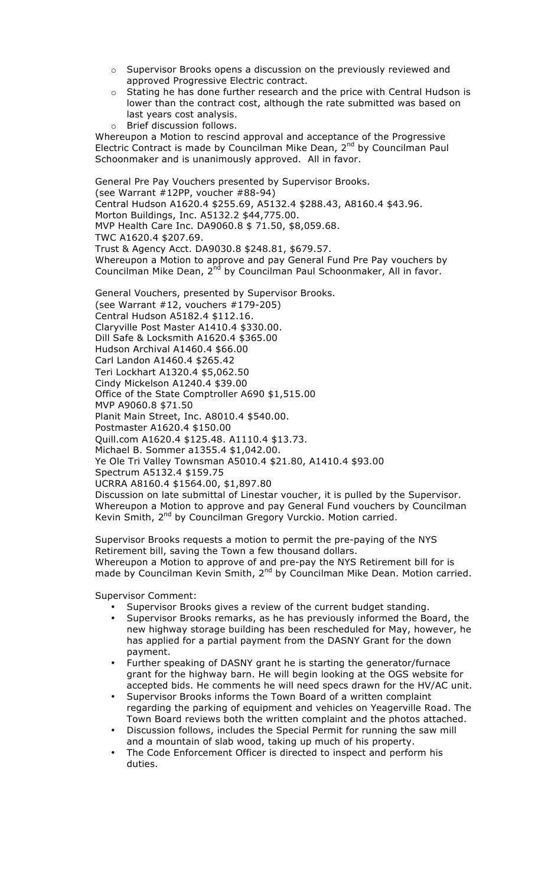- o Supervisor Brooks opens a discussion on the previously reviewed and approved Progressive Electric contract.
- $\circ$  Stating he has done further research and the price with Central Hudson is lower than the contract cost, although the rate submitted was based on last years cost analysis.

o Brief discussion follows. Whereupon a Motion to rescind approval and acceptance of the Progressive Electric Contract is made by Councilman Mike Dean, 2<sup>nd</sup> by Councilman Paul Schoonmaker and is unanimously approved. All in favor.

General Pre Pay Vouchers presented by Supervisor Brooks. (see Warrant #12PP, voucher #88-94) Central Hudson A1620.4 \$255.69, A5132.4 \$288.43, A8160.4 \$43.96. Morton Buildings, Inc. A5132.2 \$44,775.00. MVP Health Care Inc. DA9060.8 \$ 71.50, \$8,059.68. TWC A1620.4 \$207.69. Trust & Agency Acct. DA9030.8 \$248.81, \$679.57. Whereupon a Motion to approve and pay General Fund Pre Pay vouchers by Councilman Mike Dean, 2<sup>nd</sup> by Councilman Paul Schoonmaker, All in favor.

General Vouchers, presented by Supervisor Brooks. (see Warrant #12, vouchers #179-205) Central Hudson A5182.4 \$112.16. Claryville Post Master A1410.4 \$330.00. Dill Safe & Locksmith A1620.4 \$365.00 Hudson Archival A1460.4 \$66.00 Carl Landon A1460.4 \$265.42 Teri Lockhart A1320.4 \$5,062.50 Cindy Mickelson A1240.4 \$39.00 Office of the State Comptroller A690 \$1,515.00 MVP A9060.8 \$71.50 Planit Main Street, Inc. A8010.4 \$540.00. Postmaster A1620.4 \$150.00 Quill.com A1620.4 \$125.48. A1110.4 \$13.73. Michael B. Sommer a1355.4 \$1,042.00. Ye Ole Tri Valley Townsman A5010.4 \$21.80, A1410.4 \$93.00 Spectrum A5132.4 \$159.75 UCRRA A8160.4 \$1564.00, \$1,897.80 Discussion on late submittal of Linestar voucher, it is pulled by the Supervisor. Whereupon a Motion to approve and pay General Fund vouchers by Councilman Kevin Smith, 2<sup>nd</sup> by Councilman Gregory Vurckio. Motion carried.

Supervisor Brooks requests a motion to permit the pre-paying of the NYS Retirement bill, saving the Town a few thousand dollars. Whereupon a Motion to approve of and pre-pay the NYS Retirement bill for is made by Councilman Kevin Smith, 2<sup>nd</sup> by Councilman Mike Dean. Motion carried.

Supervisor Comment:

- Supervisor Brooks gives a review of the current budget standing.
- Supervisor Brooks remarks, as he has previously informed the Board, the new highway storage building has been rescheduled for May, however, he has applied for a partial payment from the DASNY Grant for the down payment.
- Further speaking of DASNY grant he is starting the generator/furnace grant for the highway barn. He will begin looking at the OGS website for accepted bids. He comments he will need specs drawn for the HV/AC unit.
- Supervisor Brooks informs the Town Board of a written complaint regarding the parking of equipment and vehicles on Yeagerville Road. The Town Board reviews both the written complaint and the photos attached.
- Discussion follows, includes the Special Permit for running the saw mill and a mountain of slab wood, taking up much of his property.
- The Code Enforcement Officer is directed to inspect and perform his duties.